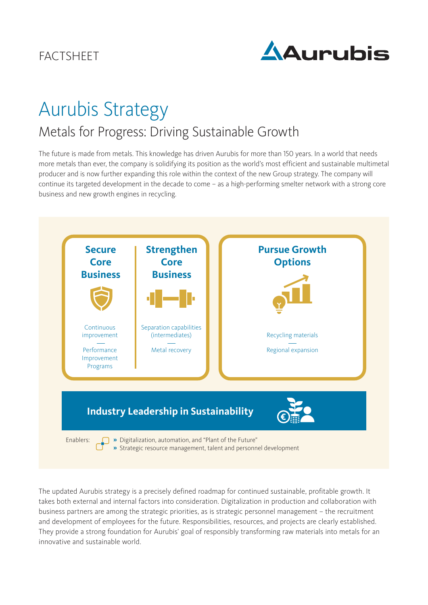

# Aurubis Strategy

# Metals for Progress: Driving Sustainable Growth

The future is made from metals. This knowledge has driven Aurubis for more than 150 years. In a world that needs more metals than ever, the company is solidifying its position as the world's most efficient and sustainable multimetal producer and is now further expanding this role within the context of the new Group strategy. The company will continue its targeted development in the decade to come – as a high-performing smelter network with a strong core business and new growth engines in recycling.



The updated Aurubis strategy is a precisely defined roadmap for continued sustainable, profitable growth. It takes both external and internal factors into consideration. Digitalization in production and collaboration with business partners are among the strategic priorities, as is strategic personnel management – the recruitment and development of employees for the future. Responsibilities, resources, and projects are clearly established. They provide a strong foundation for Aurubis' goal of responsibly transforming raw materials into metals for an innovative and sustainable world.